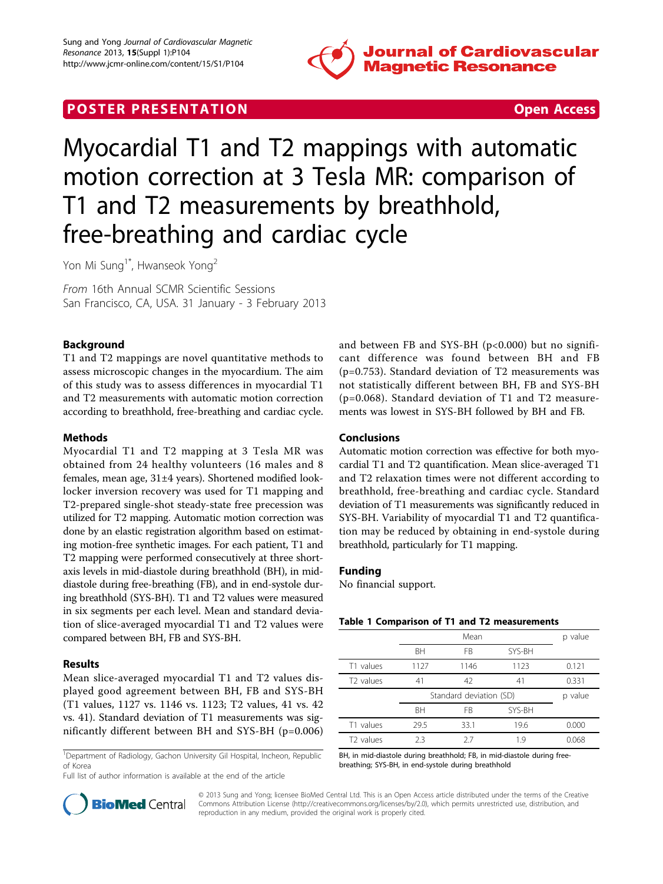

# **POSTER PRESENTATION CONSUMING THE SECOND CONSUMING THE SECOND CONSUMING THE SECOND CONSUMING THE SECOND CONSUMING THE SECOND CONSUMING THE SECOND CONSUMING THE SECOND CONSUMING THE SECOND CONSUMING THE SECOND CONSUMING**



# Myocardial T1 and T2 mappings with automatic motion correction at 3 Tesla MR: comparison of T1 and T2 measurements by breathhold, free-breathing and cardiac cycle

Yon Mi Sung<sup>1\*</sup>, Hwanseok Yong<sup>2</sup>

From 16th Annual SCMR Scientific Sessions San Francisco, CA, USA. 31 January - 3 February 2013

# Background

T1 and T2 mappings are novel quantitative methods to assess microscopic changes in the myocardium. The aim of this study was to assess differences in myocardial T1 and T2 measurements with automatic motion correction according to breathhold, free-breathing and cardiac cycle.

## Methods

Myocardial T1 and T2 mapping at 3 Tesla MR was obtained from 24 healthy volunteers (16 males and 8 females, mean age, 31±4 years). Shortened modified looklocker inversion recovery was used for T1 mapping and T2-prepared single-shot steady-state free precession was utilized for T2 mapping. Automatic motion correction was done by an elastic registration algorithm based on estimating motion-free synthetic images. For each patient, T1 and T2 mapping were performed consecutively at three shortaxis levels in mid-diastole during breathhold (BH), in middiastole during free-breathing (FB), and in end-systole during breathhold (SYS-BH). T1 and T2 values were measured in six segments per each level. Mean and standard deviation of slice-averaged myocardial T1 and T2 values were compared between BH, FB and SYS-BH.

# Results

Mean slice-averaged myocardial T1 and T2 values displayed good agreement between BH, FB and SYS-BH (T1 values, 1127 vs. 1146 vs. 1123; T2 values, 41 vs. 42 vs. 41). Standard deviation of T1 measurements was significantly different between BH and SYS-BH (p=0.006)

<sup>1</sup>Department of Radiology, Gachon University Gil Hospital, Incheon, Republic of Korea

Full list of author information is available at the end of the article



### Conclusions

Automatic motion correction was effective for both myocardial T1 and T2 quantification. Mean slice-averaged T1 and T2 relaxation times were not different according to breathhold, free-breathing and cardiac cycle. Standard deviation of T1 measurements was significantly reduced in SYS-BH. Variability of myocardial T1 and T2 quantification may be reduced by obtaining in end-systole during breathhold, particularly for T1 mapping.

#### Funding

No financial support.

#### Table 1 Comparison of T1 and T2 measurements

|                       | Mean                    |      |        | p value |
|-----------------------|-------------------------|------|--------|---------|
|                       | <b>BH</b>               | FB   | SYS-BH |         |
| T1 values             | 1127                    | 1146 | 1123   | 0.121   |
| T <sub>2</sub> values | 41                      | 42   | 41     | 0.331   |
|                       | Standard deviation (SD) |      |        |         |
|                       |                         |      |        | p value |
|                       | <b>BH</b>               | FB   | SYS-BH |         |
| T1 values             | 29.5                    | 33.1 | 19.6   | 0.000   |

BH, in mid-diastole during breathhold; FB, in mid-diastole during freebreathing; SYS-BH, in end-systole during breathhold



© 2013 Sung and Yong; licensee BioMed Central Ltd. This is an Open Access article distributed under the terms of the Creative Commons Attribution License [\(http://creativecommons.org/licenses/by/2.0](http://creativecommons.org/licenses/by/2.0)), which permits unrestricted use, distribution, and reproduction in any medium, provided the original work is properly cited.